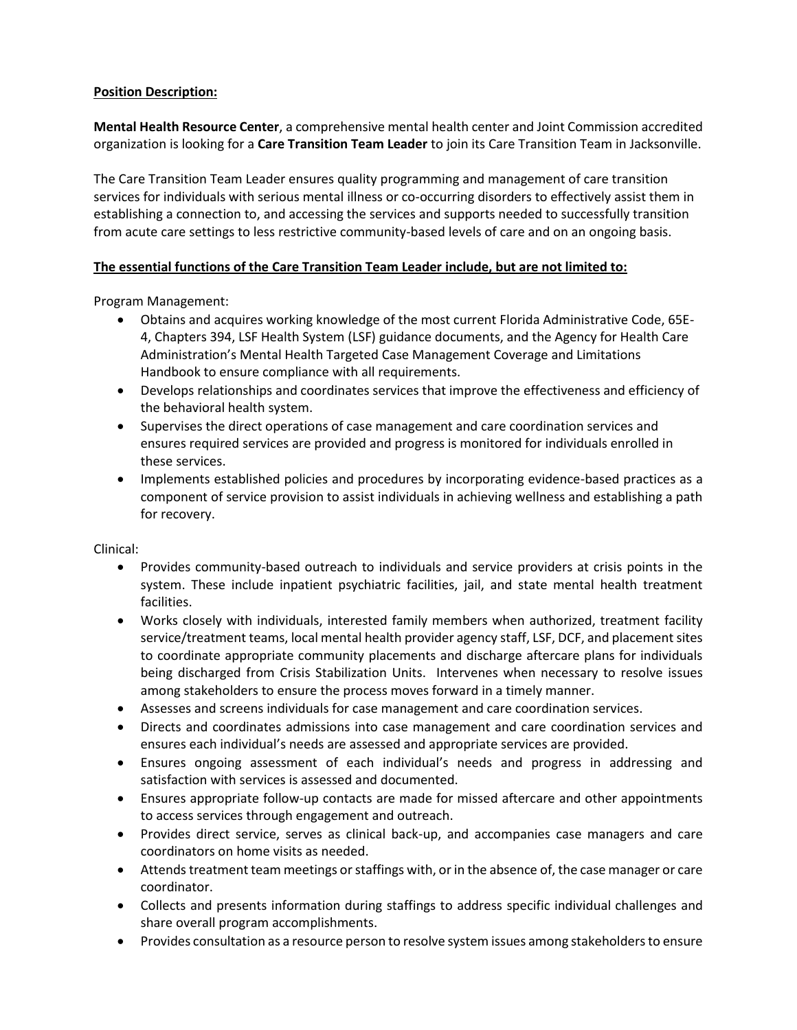## **Position Description:**

**Mental Health Resource Center**, a comprehensive mental health center and Joint Commission accredited organization is looking for a **Care Transition Team Leader** to join its Care Transition Team in Jacksonville.

The Care Transition Team Leader ensures quality programming and management of care transition services for individuals with serious mental illness or co-occurring disorders to effectively assist them in establishing a connection to, and accessing the services and supports needed to successfully transition from acute care settings to less restrictive community-based levels of care and on an ongoing basis.

## **The essential functions of the Care Transition Team Leader include, but are not limited to:**

Program Management:

- Obtains and acquires working knowledge of the most current Florida Administrative Code, 65E-4, Chapters 394, LSF Health System (LSF) guidance documents, and the Agency for Health Care Administration's Mental Health Targeted Case Management Coverage and Limitations Handbook to ensure compliance with all requirements.
- Develops relationships and coordinates services that improve the effectiveness and efficiency of the behavioral health system.
- Supervises the direct operations of case management and care coordination services and ensures required services are provided and progress is monitored for individuals enrolled in these services.
- Implements established policies and procedures by incorporating evidence-based practices as a component of service provision to assist individuals in achieving wellness and establishing a path for recovery.

Clinical:

- Provides community-based outreach to individuals and service providers at crisis points in the system. These include inpatient psychiatric facilities, jail, and state mental health treatment facilities.
- Works closely with individuals, interested family members when authorized, treatment facility service/treatment teams, local mental health provider agency staff, LSF, DCF, and placement sites to coordinate appropriate community placements and discharge aftercare plans for individuals being discharged from Crisis Stabilization Units. Intervenes when necessary to resolve issues among stakeholders to ensure the process moves forward in a timely manner.
- Assesses and screens individuals for case management and care coordination services.
- Directs and coordinates admissions into case management and care coordination services and ensures each individual's needs are assessed and appropriate services are provided.
- Ensures ongoing assessment of each individual's needs and progress in addressing and satisfaction with services is assessed and documented.
- Ensures appropriate follow-up contacts are made for missed aftercare and other appointments to access services through engagement and outreach.
- Provides direct service, serves as clinical back-up, and accompanies case managers and care coordinators on home visits as needed.
- Attends treatment team meetings or staffings with, or in the absence of, the case manager or care coordinator.
- Collects and presents information during staffings to address specific individual challenges and share overall program accomplishments.
- Provides consultation as a resource person to resolve system issues among stakeholders to ensure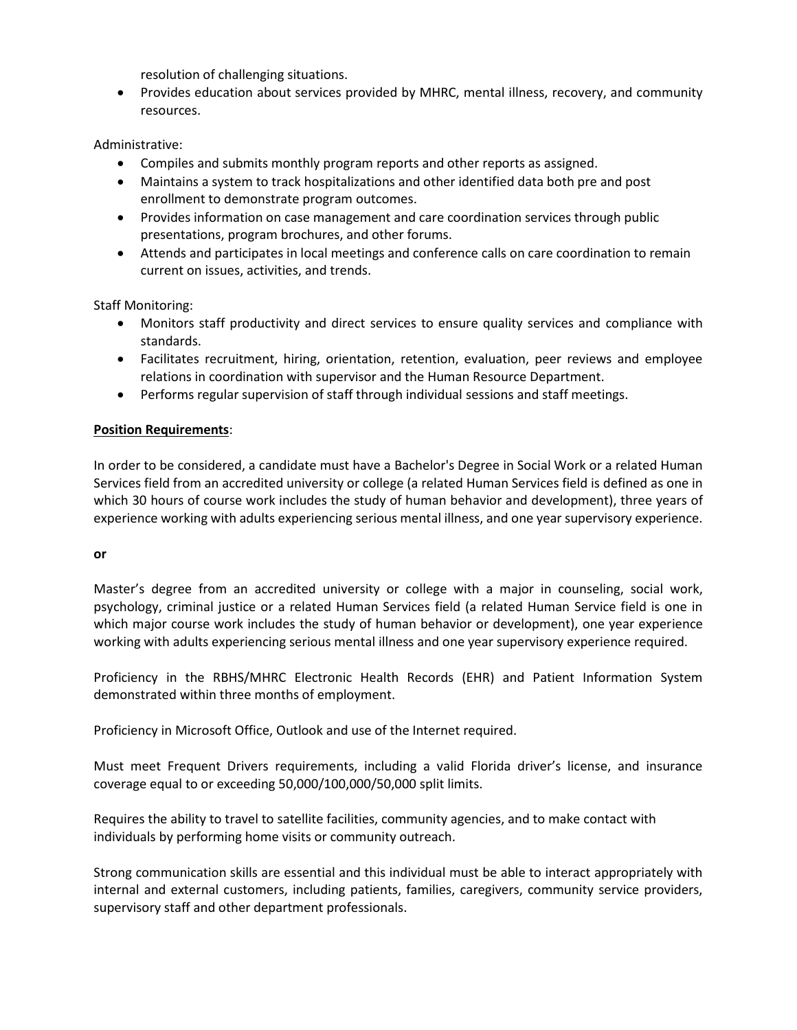resolution of challenging situations.

 Provides education about services provided by MHRC, mental illness, recovery, and community resources.

Administrative:

- Compiles and submits monthly program reports and other reports as assigned.
- Maintains a system to track hospitalizations and other identified data both pre and post enrollment to demonstrate program outcomes.
- Provides information on case management and care coordination services through public presentations, program brochures, and other forums.
- Attends and participates in local meetings and conference calls on care coordination to remain current on issues, activities, and trends.

Staff Monitoring:

- Monitors staff productivity and direct services to ensure quality services and compliance with standards.
- Facilitates recruitment, hiring, orientation, retention, evaluation, peer reviews and employee relations in coordination with supervisor and the Human Resource Department.
- Performs regular supervision of staff through individual sessions and staff meetings.

### **Position Requirements**:

In order to be considered, a candidate must have a Bachelor's Degree in Social Work or a related Human Services field from an accredited university or college (a related Human Services field is defined as one in which 30 hours of course work includes the study of human behavior and development), three years of experience working with adults experiencing serious mental illness, and one year supervisory experience.

#### **or**

Master's degree from an accredited university or college with a major in counseling, social work, psychology, criminal justice or a related Human Services field (a related Human Service field is one in which major course work includes the study of human behavior or development), one year experience working with adults experiencing serious mental illness and one year supervisory experience required.

Proficiency in the RBHS/MHRC Electronic Health Records (EHR) and Patient Information System demonstrated within three months of employment.

Proficiency in Microsoft Office, Outlook and use of the Internet required.

Must meet Frequent Drivers requirements, including a valid Florida driver's license, and insurance coverage equal to or exceeding 50,000/100,000/50,000 split limits.

Requires the ability to travel to satellite facilities, community agencies, and to make contact with individuals by performing home visits or community outreach.

Strong communication skills are essential and this individual must be able to interact appropriately with internal and external customers, including patients, families, caregivers, community service providers, supervisory staff and other department professionals.